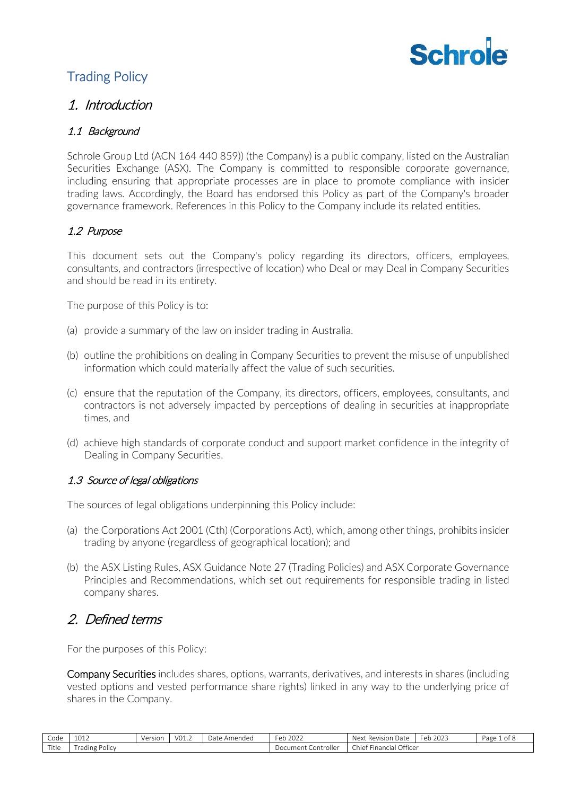

# Trading Policy

## 1. Introduction

## 1.1 Background

Schrole Group Ltd (ACN 164 440 859)) (the Company) is a public company, listed on the Australian Securities Exchange (ASX). The Company is committed to responsible corporate governance, including ensuring that appropriate processes are in place to promote compliance with insider trading laws. Accordingly, the Board has endorsed this Policy as part of the Company's broader governance framework. References in this Policy to the Company include its related entities.

## 1.2 Purpose

This document sets out the Company's policy regarding its directors, officers, employees, consultants, and contractors (irrespective of location) who Deal or may Deal in Company Securities and should be read in its entirety.

The purpose of this Policy is to:

- (a) provide a summary of the law on insider trading in Australia.
- (b) outline the prohibitions on dealing in Company Securities to prevent the misuse of unpublished information which could materially affect the value of such securities.
- (c) ensure that the reputation of the Company, its directors, officers, employees, consultants, and contractors is not adversely impacted by perceptions of dealing in securities at inappropriate times, and
- (d) achieve high standards of corporate conduct and support market confidence in the integrity of Dealing in Company Securities.

### 1.3 Source of legal obligations

The sources of legal obligations underpinning this Policy include:

- (a) the Corporations Act 2001 (Cth) (Corporations Act), which, among other things, prohibits insider trading by anyone (regardless of geographical location); and
- (b) the ASX Listing Rules, ASX Guidance Note 27 (Trading Policies) and ASX Corporate Governance Principles and Recommendations, which set out requirements for responsible trading in listed company shares.

# 2. Defined terms

For the purposes of this Policy:

Company Securities includes shares, options, warrants, derivatives, and interests in shares (including vested options and vested performance share rights) linked in any way to the underlying price of shares in the Company.

| Code  | $\overline{a}$ $\overline{a}$ $\overline{a}$ $\overline{a}$<br>101Z | Version<br>, , , , , , , , | VO <sup>-</sup><br>VI.L | Date<br>Amended | $\sim$ $\sim$ $\sim$<br>Feb<br>LULL | Revision<br>Next<br>. Date                         | $\sim$<br>222<br>Feb<br>2023 | Page<br>ot ≿ |
|-------|---------------------------------------------------------------------|----------------------------|-------------------------|-----------------|-------------------------------------|----------------------------------------------------|------------------------------|--------------|
| Title | $\sim$<br>rading Policy                                             |                            |                         |                 | Controller<br>Document <b>!</b>     | <b>Financial Officer</b><br>$\sim$ $\sim$<br>Chief |                              |              |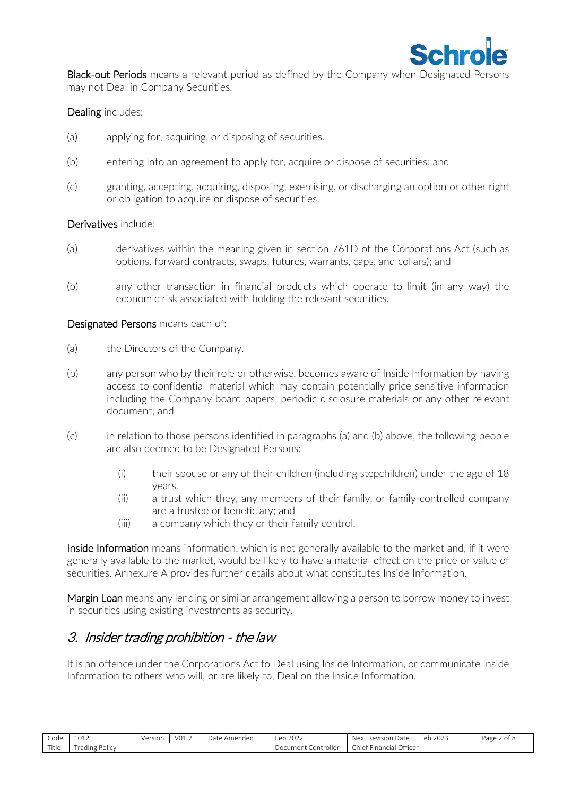

**Black-out Periods** means a relevant period as defined by the Company when Designated Persons may not Deal in Company Securities.

#### Dealing includes:

- (a) applying for, acquiring, or disposing of securities.
- (b) entering into an agreement to apply for, acquire or dispose of securities; and
- (c) granting, accepting, acquiring, disposing, exercising, or discharging an option or other right or obligation to acquire or dispose of securities.

#### Derivatives include:

- (a) derivatives within the meaning given in section 761D of the Corporations Act (such as options, forward contracts, swaps, futures, warrants, caps, and collars); and
- (b) any other transaction in financial products which operate to limit (in any way) the economic risk associated with holding the relevant securities.

#### Designated Persons means each of:

- (a) the Directors of the Company.
- (b) any person who by their role or otherwise, becomes aware of Inside Information by having access to confidential material which may contain potentially price sensitive information including the Company board papers, periodic disclosure materials or any other relevant document; and
- (c) in relation to those persons identified in paragraphs (a) and (b) above, the following people are also deemed to be Designated Persons:
	- $(i)$  their spouse or any of their children (including stepchildren) under the age of 18 years.
	- (ii) a trust which they, any members of their family, or family-controlled company are a trustee or beneficiary; and
	- (iii) a company which they or their family control.

Inside Information means information, which is not generally available to the market and, if it were generally available to the market, would be likely to have a material effect on the price or value of securities. Annexure A provides further details about what constitutes Inside Information.

Margin Loan means any lending or similar arrangement allowing a person to borrow money to invest in securities using existing investments as security.

# 3. Insider trading prohibition - the law

It is an offence under the Corporations Act to Deal using Inside Information, or communicate Inside Information to others who will, or are likely to, Deal on the Inside Information.

| $\sim$<br>Code | 0.12<br>TATA               | Version | VO1.2 | Date<br>Amended | $\sim$ $\sim$ $\sim$<br>⊦eb<br>ZUZZ | Next<br>i Date<br>Re١<br>ision | 2023<br>чeр | Page<br>$\sim$<br>ے ⊔ : |
|----------------|----------------------------|---------|-------|-----------------|-------------------------------------|--------------------------------|-------------|-------------------------|
| Title          | . .<br>-<br>Trading Policy |         |       |                 | Controller<br>Document (            | Financial Officer<br>Chie‡     |             |                         |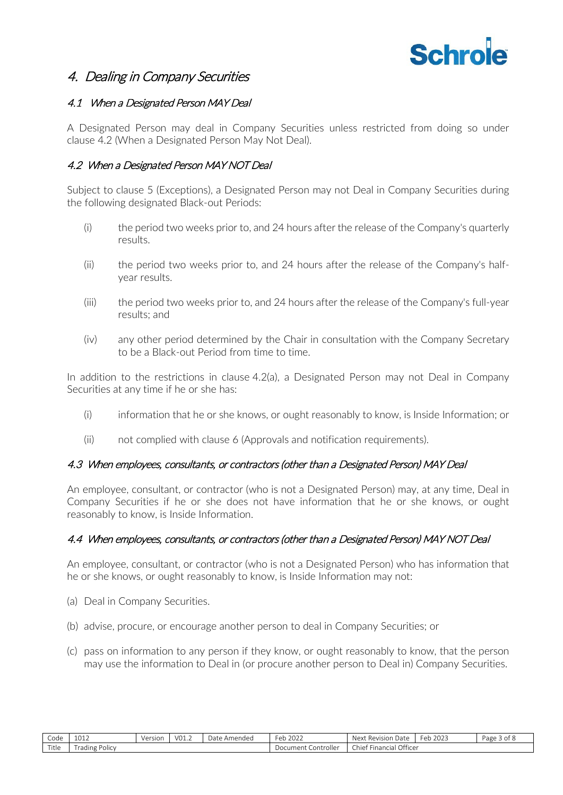

## 4. Dealing in Company Securities

### 4.1 When a Designated Person MAY Deal

A Designated Person may deal in Company Securities unless restricted from doing so under clause 4.2 (When a Designated Person May Not Deal).

#### 4.2 When a Designated Person MAY NOT Deal

Subject to clause 5 (Exceptions), a Designated Person may not Deal in Company Securities during the following designated Black-out Periods:

- (i) the period two weeks prior to, and 24 hours after the release of the Company's quarterly results.
- (ii) the period two weeks prior to, and 24 hours after the release of the Company's halfyear results.
- (iii) the period two weeks prior to, and 24 hours after the release of the Company's full-year results; and
- (iv) any other period determined by the Chair in consultation with the Company Secretary to be a Black-out Period from time to time.

In addition to the restrictions in clause 4.2(a), a Designated Person may not Deal in Company Securities at any time if he or she has:

- (i) information that he or she knows, or ought reasonably to know, is Inside Information; or
- (ii) not complied with clause 6 (Approvals and notification requirements).

#### 4.3 When employees, consultants, or contractors (other than a Designated Person) MAY Deal

An employee, consultant, or contractor (who is not a Designated Person) may, at any time, Deal in Company Securities if he or she does not have information that he or she knows, or ought reasonably to know, is Inside Information.

#### 4.4 When employees, consultants, or contractors (other than a Designated Person) MAY NOT Deal

An employee, consultant, or contractor (who is not a Designated Person) who has information that he or she knows, or ought reasonably to know, is Inside Information may not:

- (a) Deal in Company Securities.
- (b) advise, procure, or encourage another person to deal in Company Securities; or
- (c) pass on information to any person if they know, or ought reasonably to know, that the person may use the information to Deal in (or procure another person to Deal in) Company Securities.

| $\sim$<br>Code | 1011<br>TOTS                        | Version | VO1.2 | Amended<br>Date | 222<br>∙eb.<br>2022 | Date<br>Revision<br>Next                  | 202<br>$\sim$<br>⊦eb<br>ZUZJ | Page<br>ot 8<br>$\overline{\phantom{a}}$ |
|----------------|-------------------------------------|---------|-------|-----------------|---------------------|-------------------------------------------|------------------------------|------------------------------------------|
| Title          | -<br>rading '<br><sup>o</sup> olicy |         |       |                 |                     | Officer<br>.<br><b>Financial</b><br>Chief |                              |                                          |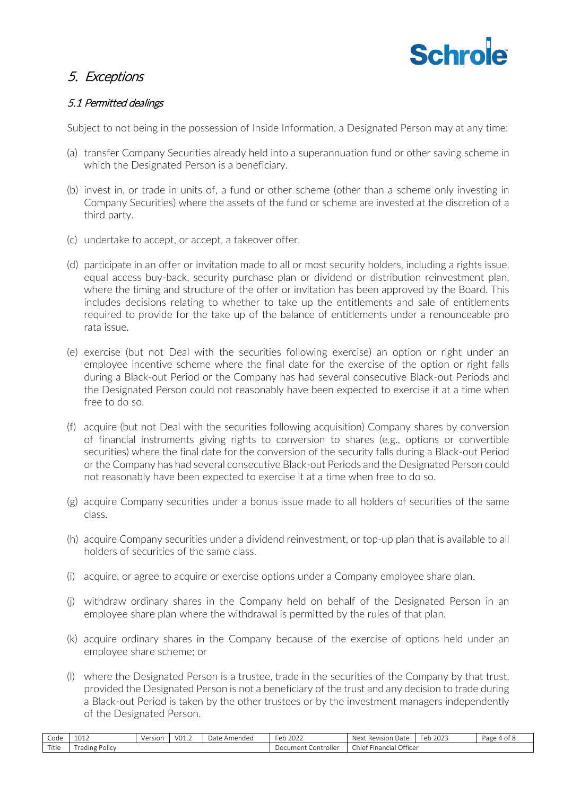

# 5. Exceptions

### 5.1 Permitted dealings

Subject to not being in the possession of Inside Information, a Designated Person may at any time:

- (a) transfer Company Securities already held into a superannuation fund or other saving scheme in which the Designated Person is a beneficiary.
- (b) invest in, or trade in units of, a fund or other scheme (other than a scheme only investing in Company Securities) where the assets of the fund or scheme are invested at the discretion of a third party.
- (c) undertake to accept, or accept, a takeover offer.
- (d) participate in an offer or invitation made to all or most security holders, including a rights issue, equal access buy-back, security purchase plan or dividend or distribution reinvestment plan, where the timing and structure of the offer or invitation has been approved by the Board. This includes decisions relating to whether to take up the entitlements and sale of entitlements required to provide for the take up of the balance of entitlements under a renounceable pro rata issue.
- (e) exercise (but not Deal with the securities following exercise) an option or right under an employee incentive scheme where the final date for the exercise of the option or right falls during a Black-out Period or the Company has had several consecutive Black-out Periods and the Designated Person could not reasonably have been expected to exercise it at a time when free to do so.
- (f) acquire (but not Deal with the securities following acquisition) Company shares by conversion of financial instruments giving rights to conversion to shares (e.g., options or convertible securities) where the final date for the conversion of the security falls during a Black-out Period or the Company has had several consecutive Black-out Periods and the Designated Person could not reasonably have been expected to exercise it at a time when free to do so.
- (g) acquire Company securities under a bonus issue made to all holders of securities of the same class.
- (h) acquire Company securities under a dividend reinvestment, or top-up plan that is available to all holders of securities of the same class.
- (i) acquire, or agree to acquire or exercise options under a Company employee share plan.
- (j) withdraw ordinary shares in the Company held on behalf of the Designated Person in an employee share plan where the withdrawal is permitted by the rules of that plan.
- (k) acquire ordinary shares in the Company because of the exercise of options held under an employee share scheme; or
- (l) where the Designated Person is a trustee, trade in the securities of the Company by that trust, provided the Designated Person is not a beneficiary of the trust and any decision to trade during a Black-out Period is taken by the other trustees or by the investment managers independently of the Designated Person.

| $\sim$<br>Code | 1012                                             | Version | V01.2 | Date<br>Amended | $\overline{\phantom{a}}$<br>2022<br>Feb 202∠ | Next<br>Revision<br>Date           | 2023<br>Feb | Page 4 of 8 |
|----------------|--------------------------------------------------|---------|-------|-----------------|----------------------------------------------|------------------------------------|-------------|-------------|
| Title          | $\overline{\phantom{a}}$<br><b>rading Policy</b> |         |       |                 | Document<br>Controller                       | Officer<br>.<br>Financial<br>Chief |             |             |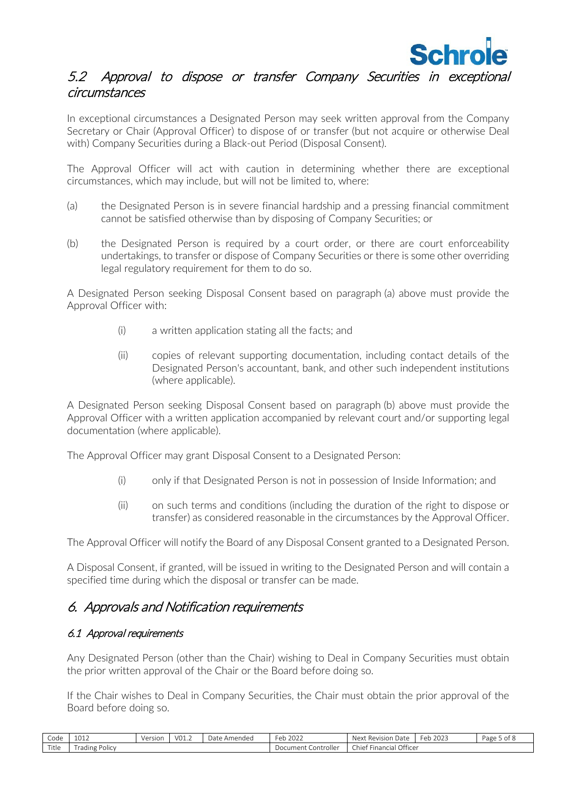

## 5.2 Approval to dispose or transfer Company Securities in exceptional circumstances

In exceptional circumstances a Designated Person may seek written approval from the Company Secretary or Chair (Approval Officer) to dispose of or transfer (but not acquire or otherwise Deal with) Company Securities during a Black-out Period (Disposal Consent).

The Approval Officer will act with caution in determining whether there are exceptional circumstances, which may include, but will not be limited to, where:

- <span id="page-4-0"></span>(a) the Designated Person is in severe financial hardship and a pressing financial commitment cannot be satisfied otherwise than by disposing of Company Securities; or
- <span id="page-4-1"></span>(b) the Designated Person is required by a court order, or there are court enforceability undertakings, to transfer or dispose of Company Securities or there is some other overriding legal regulatory requirement for them to do so.

A Designated Person seeking Disposal Consent based on paragraph [\(a\)](#page-4-0) above must provide the Approval Officer with:

- (i) a written application stating all the facts; and
- (ii) copies of relevant supporting documentation, including contact details of the Designated Person's accountant, bank, and other such independent institutions (where applicable).

A Designated Person seeking Disposal Consent based on paragraph [\(b\)](#page-4-1) above must provide the Approval Officer with a written application accompanied by relevant court and/or supporting legal documentation (where applicable).

The Approval Officer may grant Disposal Consent to a Designated Person:

- (i) only if that Designated Person is not in possession of Inside Information; and
- (ii) on such terms and conditions (including the duration of the right to dispose or transfer) as considered reasonable in the circumstances by the Approval Officer.

The Approval Officer will notify the Board of any Disposal Consent granted to a Designated Person.

A Disposal Consent, if granted, will be issued in writing to the Designated Person and will contain a specified time during which the disposal or transfer can be made.

## 6. Approvals and Notification requirements

#### 6.1 Approval requirements

Any Designated Person (other than the Chair) wishing to Deal in Company Securities must obtain the prior written approval of the Chair or the Board before doing so.

If the Chair wishes to Deal in Company Securities, the Chair must obtain the prior approval of the Board before doing so.

| $\sim$<br>Code      | 1011<br>TOTS               | Version | $\sim$<br>$VU_{\perp,\perp}$ | Date<br>Amended | $\bigcap$<br>$\sim$<br>+eb 202∠ | ı Date<br>Next<br>Rev<br><b>ISION</b> | $\sim$<br>2022<br>Feb<br>1 ZUZ3 | Page<br>ot 8 |
|---------------------|----------------------------|---------|------------------------------|-----------------|---------------------------------|---------------------------------------|---------------------------------|--------------|
| $-$<br>$+1$<br>itie | $\cdots$<br>Frading Policy |         |                              |                 | . controller<br>Document        | Officer<br>. .<br>Financial<br>Chief  |                                 |              |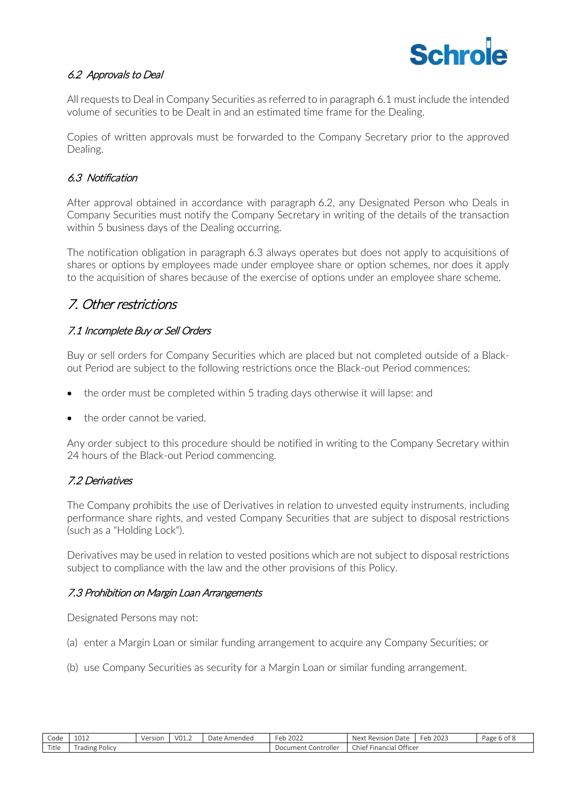

### 6.2 Approvals to Deal

All requests to Deal in Company Securities as referred to in paragraph 6.1 must include the intended volume of securities to be Dealt in and an estimated time frame for the Dealing.

Copies of written approvals must be forwarded to the Company Secretary prior to the approved Dealing.

#### 6.3 Notification

After approval obtained in accordance with paragraph 6.2, any Designated Person who Deals in Company Securities must notify the Company Secretary in writing of the details of the transaction within 5 business days of the Dealing occurring.

The notification obligation in paragraph 6.3 always operates but does not apply to acquisitions of shares or options by employees made under employee share or option schemes, nor does it apply to the acquisition of shares because of the exercise of options under an employee share scheme.

# 7. Other restrictions

### 7.1 Incomplete Buy or Sell Orders

Buy or sell orders for Company Securities which are placed but not completed outside of a Blackout Period are subject to the following restrictions once the Black-out Period commences:

- the order must be completed within 5 trading days otherwise it will lapse: and
- the order cannot be varied.

Any order subject to this procedure should be notified in writing to the Company Secretary within 24 hours of the Black-out Period commencing.

#### 7.2 Derivatives

The Company prohibits the use of Derivatives in relation to unvested equity instruments, including performance share rights, and vested Company Securities that are subject to disposal restrictions (such as a "Holding Lock").

Derivatives may be used in relation to vested positions which are not subject to disposal restrictions subject to compliance with the law and the other provisions of this Policy.

#### 7.3 Prohibition on Margin Loan Arrangements

Designated Persons may not:

- (a) enter a Margin Loan or similar funding arrangement to acquire any Company Securities; or
- (b) use Company Securities as security for a Margin Loan or similar funding arrangement.

| $\sim$<br>Code | 1011<br>TOTS              | Version | V01.2 | Amended<br>Date . | 2022<br>∙eb<br>2022      | Revision<br>Date<br>Next                    | 202<br>$\sim$<br>Feb.<br>ZUZ. | Page<br>:6 of 8 |
|----------------|---------------------------|---------|-------|-------------------|--------------------------|---------------------------------------------|-------------------------------|-----------------|
| Title          | . .<br>-<br>rading Policy |         |       |                   | . Controller<br>Jocument | Officer<br>$\sim -$<br>Financial<br>chief 1 |                               |                 |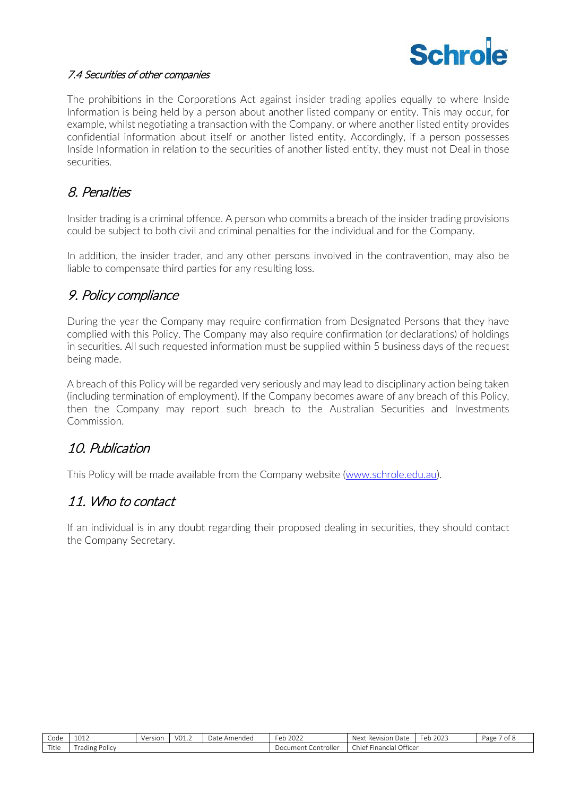

### 7.4 Securities of other companies

The prohibitions in the Corporations Act against insider trading applies equally to where Inside Information is being held by a person about another listed company or entity. This may occur, for example, whilst negotiating a transaction with the Company, or where another listed entity provides confidential information about itself or another listed entity. Accordingly, if a person possesses Inside Information in relation to the securities of another listed entity, they must not Deal in those securities.

# 8. Penalties

Insider trading is a criminal offence. A person who commits a breach of the insider trading provisions could be subject to both civil and criminal penalties for the individual and for the Company.

In addition, the insider trader, and any other persons involved in the contravention, may also be liable to compensate third parties for any resulting loss.

# 9. Policy compliance

During the year the Company may require confirmation from Designated Persons that they have complied with this Policy. The Company may also require confirmation (or declarations) of holdings in securities. All such requested information must be supplied within 5 business days of the request being made.

A breach of this Policy will be regarded very seriously and may lead to disciplinary action being taken (including termination of employment). If the Company becomes aware of any breach of this Policy, then the Company may report such breach to the Australian Securities and Investments Commission.

# 10. Publication

This Policy will be made available from the Company website [\(www.schrole.edu.au\)](http://www.schrole.edu.au/).

# 11. Who to contact

If an individual is in any doubt regarding their proposed dealing in securities, they should contact the Company Secretary.

| Code  | 1012<br>TATA                        | Version | VO1.2 | -<br><i>D</i> ate<br>: Amended | $e$ b<br>2022<br>ZUZZ    | -<br>Next<br>: Revision<br>Date              | 2022<br>'−eb<br>2023 | -<br>Page<br>ot 8 |
|-------|-------------------------------------|---------|-------|--------------------------------|--------------------------|----------------------------------------------|----------------------|-------------------|
| Title | $\cdots$<br>rading<br><b>Policy</b> |         |       |                                | . Controller<br>Document | Officer<br>$\sim -$<br>Financiai<br>L'hief l |                      |                   |